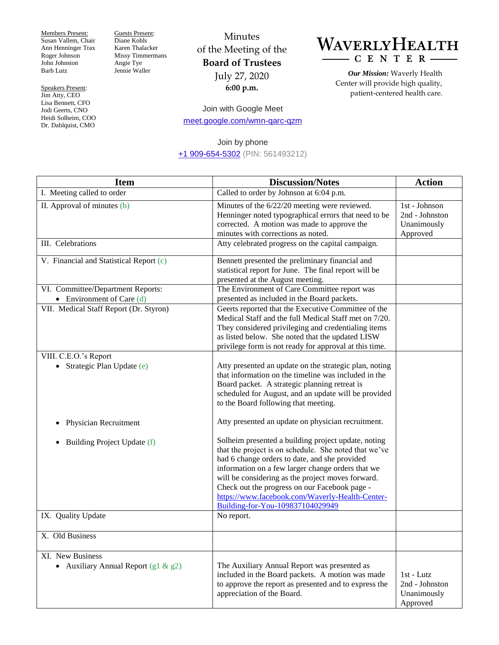Members Present: Susan Vallem, Chair Ann Henninger Trax Roger Johnson John Johnston Barb Lutz

Speakers Present: Jim Atty, CEO Lisa Bennett, CFO Jodi Geerts, CNO Heidi Solheim, COO Dr. Dahlquist, CMO

Guests Present: Diane Kohls Karen Thalacker Missy Timmermans Angie Tye Jennie Waller

## Minutes of the Meeting of the **Board of Trustees** July 27, 2020 **6:00 p.m.**



*Our Mission:* Waverly Health Center will provide high quality, patient-centered health care.

Join with Google Meet [meet.google.com/wmn-qarc-qzm](https://meet.google.com/wmn-qarc-qzm)

## Join by phone [+1 909-654-5302](about:invalid#zSoyz) (PIN: 561493212)

| <b>Item</b>                                                      | <b>Discussion/Notes</b>                                                                                                                                                                                                                                                                                                                                                                                         | <b>Action</b>                                              |
|------------------------------------------------------------------|-----------------------------------------------------------------------------------------------------------------------------------------------------------------------------------------------------------------------------------------------------------------------------------------------------------------------------------------------------------------------------------------------------------------|------------------------------------------------------------|
| I. Meeting called to order                                       | Called to order by Johnson at 6:04 p.m.                                                                                                                                                                                                                                                                                                                                                                         |                                                            |
| II. Approval of minutes (b)                                      | Minutes of the 6/22/20 meeting were reviewed.<br>Henninger noted typographical errors that need to be<br>corrected. A motion was made to approve the<br>minutes with corrections as noted.                                                                                                                                                                                                                      | 1st - Johnson<br>2nd - Johnston<br>Unanimously<br>Approved |
| III. Celebrations                                                | Atty celebrated progress on the capital campaign.                                                                                                                                                                                                                                                                                                                                                               |                                                            |
| V. Financial and Statistical Report (c)                          | Bennett presented the preliminary financial and<br>statistical report for June. The final report will be<br>presented at the August meeting.                                                                                                                                                                                                                                                                    |                                                            |
| VI. Committee/Department Reports:<br>• Environment of Care $(d)$ | The Environment of Care Committee report was<br>presented as included in the Board packets.                                                                                                                                                                                                                                                                                                                     |                                                            |
| VII. Medical Staff Report (Dr. Styron)                           | Geerts reported that the Executive Committee of the<br>Medical Staff and the full Medical Staff met on 7/20.<br>They considered privileging and credentialing items<br>as listed below. She noted that the updated LISW<br>privilege form is not ready for approval at this time.                                                                                                                               |                                                            |
| VIII. C.E.O.'s Report<br>Strategic Plan Update (e)               | Atty presented an update on the strategic plan, noting<br>that information on the timeline was included in the<br>Board packet. A strategic planning retreat is<br>scheduled for August, and an update will be provided<br>to the Board following that meeting.                                                                                                                                                 |                                                            |
| Physician Recruitment<br>٠                                       | Atty presented an update on physician recruitment.                                                                                                                                                                                                                                                                                                                                                              |                                                            |
| Building Project Update (f)<br>٠                                 | Solheim presented a building project update, noting<br>that the project is on schedule. She noted that we've<br>had 6 change orders to date, and she provided<br>information on a few larger change orders that we<br>will be considering as the project moves forward.<br>Check out the progress on our Facebook page -<br>https://www.facebook.com/Waverly-Health-Center-<br>Building-for-You-109837104029949 |                                                            |
| IX. Quality Update                                               | No report.                                                                                                                                                                                                                                                                                                                                                                                                      |                                                            |
| X. Old Business                                                  |                                                                                                                                                                                                                                                                                                                                                                                                                 |                                                            |
| XI. New Business<br>• Auxiliary Annual Report $(g1 \& g2)$       | The Auxiliary Annual Report was presented as<br>included in the Board packets. A motion was made<br>to approve the report as presented and to express the<br>appreciation of the Board.                                                                                                                                                                                                                         | 1st - Lutz<br>2nd - Johnston<br>Unanimously<br>Approved    |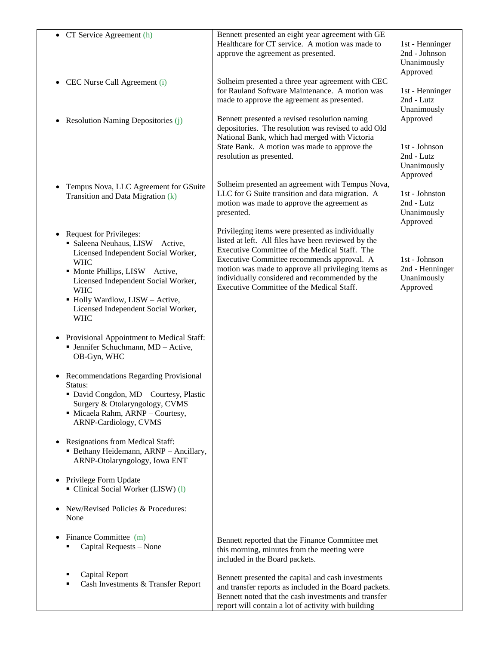| • CT Service Agreement (h)                                                                                               | Bennett presented an eight year agreement with GE                                                                                                                                                                           |                                                             |
|--------------------------------------------------------------------------------------------------------------------------|-----------------------------------------------------------------------------------------------------------------------------------------------------------------------------------------------------------------------------|-------------------------------------------------------------|
|                                                                                                                          | Healthcare for CT service. A motion was made to<br>approve the agreement as presented.                                                                                                                                      | 1st - Henninger<br>2nd - Johnson<br>Unanimously<br>Approved |
| CEC Nurse Call Agreement (i)                                                                                             | Solheim presented a three year agreement with CEC<br>for Rauland Software Maintenance. A motion was<br>made to approve the agreement as presented.                                                                          | 1st - Henninger<br>2nd - Lutz<br>Unanimously                |
| • Resolution Naming Depositories (j)                                                                                     | Bennett presented a revised resolution naming<br>depositories. The resolution was revised to add Old<br>National Bank, which had merged with Victoria                                                                       | Approved                                                    |
|                                                                                                                          | State Bank. A motion was made to approve the<br>resolution as presented.                                                                                                                                                    | 1st - Johnson<br>2nd - Lutz<br>Unanimously<br>Approved      |
| Tempus Nova, LLC Agreement for GSuite<br>Transition and Data Migration (k)                                               | Solheim presented an agreement with Tempus Nova,<br>LLC for G Suite transition and data migration. A<br>motion was made to approve the agreement as<br>presented.                                                           | 1st - Johnston<br>2nd - Lutz<br>Unanimously<br>Approved     |
| <b>Request for Privileges:</b><br>• Saleena Neuhaus, LISW - Active,<br>Licensed Independent Social Worker,<br><b>WHC</b> | Privileging items were presented as individually<br>listed at left. All files have been reviewed by the<br>Executive Committee of the Medical Staff. The<br>Executive Committee recommends approval. A                      | 1st - Johnson                                               |
| • Monte Phillips, LISW - Active,<br>Licensed Independent Social Worker,<br><b>WHC</b>                                    | motion was made to approve all privileging items as<br>individually considered and recommended by the<br>Executive Committee of the Medical Staff.                                                                          | 2nd - Henninger<br>Unanimously<br>Approved                  |
| • Holly Wardlow, LISW - Active,<br>Licensed Independent Social Worker,<br><b>WHC</b>                                     |                                                                                                                                                                                                                             |                                                             |
| Provisional Appointment to Medical Staff:<br>• Jennifer Schuchmann, MD - Active,<br>OB-Gyn, WHC                          |                                                                                                                                                                                                                             |                                                             |
| Recommendations Regarding Provisional<br>Status:<br>$\blacksquare$ David Congdon, MD – Courtesy, Plastic                 |                                                                                                                                                                                                                             |                                                             |
| Surgery & Otolaryngology, CVMS<br>· Micaela Rahm, ARNP - Courtesy,<br>ARNP-Cardiology, CVMS                              |                                                                                                                                                                                                                             |                                                             |
| Resignations from Medical Staff:<br>• Bethany Heidemann, ARNP - Ancillary,<br>ARNP-Otolaryngology, Iowa ENT              |                                                                                                                                                                                                                             |                                                             |
| • Privilege Form Update<br>- Clinical Social Worker (LISW) (1)                                                           |                                                                                                                                                                                                                             |                                                             |
| New/Revised Policies & Procedures:<br>None                                                                               |                                                                                                                                                                                                                             |                                                             |
| Finance Committee (m)<br>Capital Requests - None                                                                         | Bennett reported that the Finance Committee met<br>this morning, minutes from the meeting were<br>included in the Board packets.                                                                                            |                                                             |
| Capital Report<br>Cash Investments & Transfer Report                                                                     | Bennett presented the capital and cash investments<br>and transfer reports as included in the Board packets.<br>Bennett noted that the cash investments and transfer<br>report will contain a lot of activity with building |                                                             |